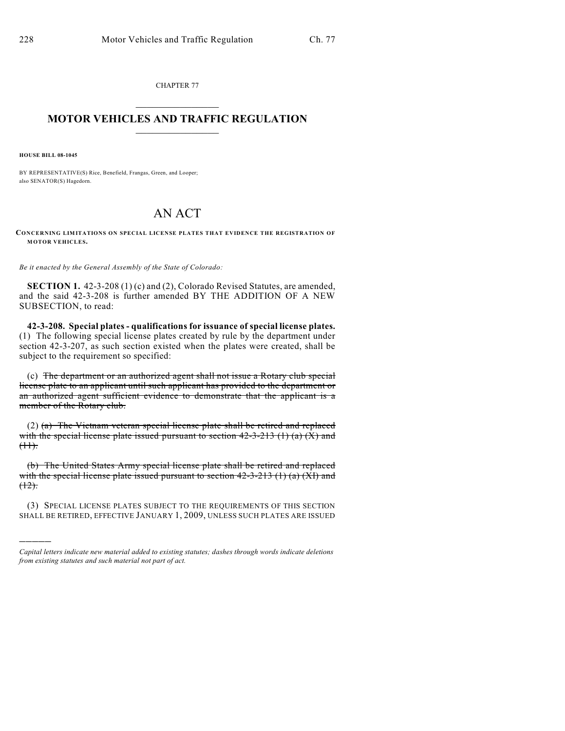CHAPTER 77  $\mathcal{L}_\text{max}$  . The set of the set of the set of the set of the set of the set of the set of the set of the set of the set of the set of the set of the set of the set of the set of the set of the set of the set of the set

## **MOTOR VEHICLES AND TRAFFIC REGULATION**  $\frac{1}{2}$  ,  $\frac{1}{2}$  ,  $\frac{1}{2}$  ,  $\frac{1}{2}$  ,  $\frac{1}{2}$  ,  $\frac{1}{2}$  ,  $\frac{1}{2}$  ,  $\frac{1}{2}$

**HOUSE BILL 08-1045**

)))))

BY REPRESENTATIVE(S) Rice, Benefield, Frangas, Green, and Looper; also SENATOR(S) Hagedorn.

## AN ACT

CONCERNING LIMITATIONS ON SPECIAL LICENSE PLATES THAT EVIDENCE THE REGISTRATION OF **MOTOR VEHICLES.**

*Be it enacted by the General Assembly of the State of Colorado:*

**SECTION 1.** 42-3-208 (1) (c) and (2), Colorado Revised Statutes, are amended, and the said 42-3-208 is further amended BY THE ADDITION OF A NEW SUBSECTION, to read:

**42-3-208. Special plates - qualifications for issuance of special license plates.** (1) The following special license plates created by rule by the department under section 42-3-207, as such section existed when the plates were created, shall be subject to the requirement so specified:

(c) The department or an authorized agent shall not issue a Rotary club special license plate to an applicant until such applicant has provided to the department or an authorized agent sufficient evidence to demonstrate that the applicant is a member of the Rotary club.

(2) (a) The Vietnam veteran special license plate shall be retired and replaced with the special license plate issued pursuant to section  $42-3-213$  (1) (a) (X) and  $(11)$ .

(b) The United States Army special license plate shall be retired and replaced with the special license plate issued pursuant to section  $42-3-213$  (1) (a) (XI) and  $(12)$ .

(3) SPECIAL LICENSE PLATES SUBJECT TO THE REQUIREMENTS OF THIS SECTION SHALL BE RETIRED, EFFECTIVE JANUARY 1, 2009, UNLESS SUCH PLATES ARE ISSUED

*Capital letters indicate new material added to existing statutes; dashes through words indicate deletions from existing statutes and such material not part of act.*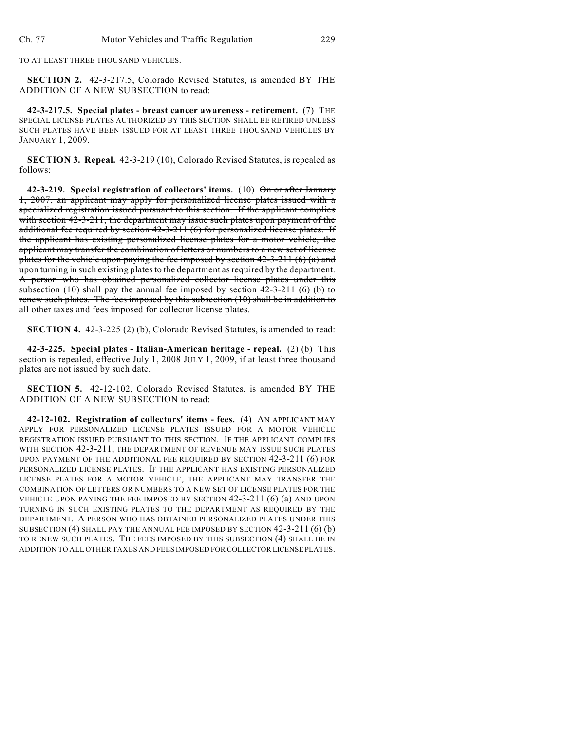TO AT LEAST THREE THOUSAND VEHICLES.

**SECTION 2.** 42-3-217.5, Colorado Revised Statutes, is amended BY THE ADDITION OF A NEW SUBSECTION to read:

**42-3-217.5. Special plates - breast cancer awareness - retirement.** (7) THE SPECIAL LICENSE PLATES AUTHORIZED BY THIS SECTION SHALL BE RETIRED UNLESS SUCH PLATES HAVE BEEN ISSUED FOR AT LEAST THREE THOUSAND VEHICLES BY JANUARY 1, 2009.

**SECTION 3. Repeal.** 42-3-219 (10), Colorado Revised Statutes, is repealed as follows:

**42-3-219. Special registration of collectors' items.** (10) On or after January 1, 2007, an applicant may apply for personalized license plates issued with a specialized registration issued pursuant to this section. If the applicant complies with section 42-3-211, the department may issue such plates upon payment of the additional fee required by section 42-3-211 (6) for personalized license plates. If the applicant has existing personalized license plates for a motor vehicle, the applicant may transfer the combination of letters or numbers to a new set of license plates for the vehicle upon paying the fee imposed by section 42-3-211 (6) (a) and upon turning in such existing plates to the department as required by the department. A person who has obtained personalized collector license plates under this subsection (10) shall pay the annual fee imposed by section  $42-3-211$  (6) (b) to renew such plates. The fees imposed by this subsection (10) shall be in addition to all other taxes and fees imposed for collector license plates.

**SECTION 4.** 42-3-225 (2) (b), Colorado Revised Statutes, is amended to read:

**42-3-225. Special plates - Italian-American heritage - repeal.** (2) (b) This section is repealed, effective  $J_{\text{uly}}$  1, 2008 JULY 1, 2009, if at least three thousand plates are not issued by such date.

**SECTION 5.** 42-12-102, Colorado Revised Statutes, is amended BY THE ADDITION OF A NEW SUBSECTION to read:

**42-12-102. Registration of collectors' items - fees.** (4) AN APPLICANT MAY APPLY FOR PERSONALIZED LICENSE PLATES ISSUED FOR A MOTOR VEHICLE REGISTRATION ISSUED PURSUANT TO THIS SECTION. IF THE APPLICANT COMPLIES WITH SECTION 42-3-211, THE DEPARTMENT OF REVENUE MAY ISSUE SUCH PLATES UPON PAYMENT OF THE ADDITIONAL FEE REQUIRED BY SECTION 42-3-211 (6) FOR PERSONALIZED LICENSE PLATES. IF THE APPLICANT HAS EXISTING PERSONALIZED LICENSE PLATES FOR A MOTOR VEHICLE, THE APPLICANT MAY TRANSFER THE COMBINATION OF LETTERS OR NUMBERS TO A NEW SET OF LICENSE PLATES FOR THE VEHICLE UPON PAYING THE FEE IMPOSED BY SECTION 42-3-211 (6) (a) AND UPON TURNING IN SUCH EXISTING PLATES TO THE DEPARTMENT AS REQUIRED BY THE DEPARTMENT. A PERSON WHO HAS OBTAINED PERSONALIZED PLATES UNDER THIS SUBSECTION (4) SHALL PAY THE ANNUAL FEE IMPOSED BY SECTION 42-3-211 (6) (b) TO RENEW SUCH PLATES. THE FEES IMPOSED BY THIS SUBSECTION (4) SHALL BE IN ADDITION TO ALL OTHER TAXES AND FEES IMPOSED FOR COLLECTOR LICENSE PLATES.